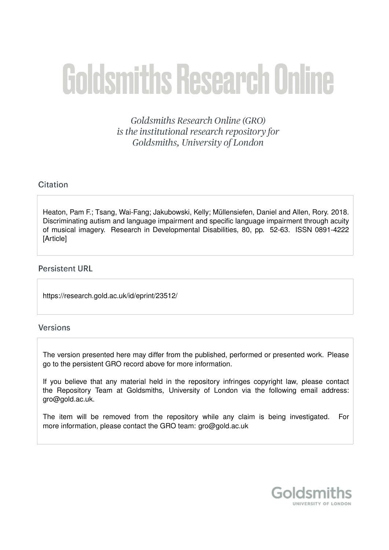# **Goldsmiths Research Online**

Goldsmiths Research Online (GRO) is the institutional research repository for Goldsmiths, University of London

## Citation

Heaton, Pam F.; Tsang, Wai-Fang; Jakubowski, Kelly; Müllensiefen, Daniel and Allen, Rory. 2018. Discriminating autism and language impairment and specific language impairment through acuity of musical imagery. Research in Developmental Disabilities, 80, pp. 52-63. ISSN 0891-4222 **[Article]** 

### **Persistent URL**

https://research.gold.ac.uk/id/eprint/23512/

## **Versions**

The version presented here may differ from the published, performed or presented work. Please go to the persistent GRO record above for more information.

If you believe that any material held in the repository infringes copyright law, please contact the Repository Team at Goldsmiths, University of London via the following email address: gro@gold.ac.uk.

The item will be removed from the repository while any claim is being investigated. For more information, please contact the GRO team: gro@gold.ac.uk

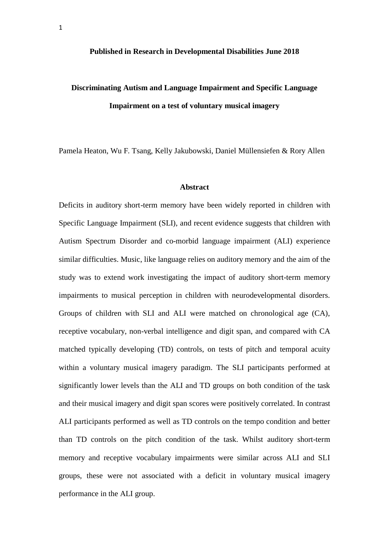#### **Published in Research in Developmental Disabilities June 2018**

# **Discriminating Autism and Language Impairment and Specific Language Impairment on a test of voluntary musical imagery**

Pamela Heaton, Wu F. Tsang, Kelly Jakubowski, Daniel Müllensiefen & Rory Allen

#### **Abstract**

Deficits in auditory short-term memory have been widely reported in children with Specific Language Impairment (SLI), and recent evidence suggests that children with Autism Spectrum Disorder and co-morbid language impairment (ALI) experience similar difficulties. Music, like language relies on auditory memory and the aim of the study was to extend work investigating the impact of auditory short-term memory impairments to musical perception in children with neurodevelopmental disorders. Groups of children with SLI and ALI were matched on chronological age (CA), receptive vocabulary, non-verbal intelligence and digit span, and compared with CA matched typically developing (TD) controls, on tests of pitch and temporal acuity within a voluntary musical imagery paradigm. The SLI participants performed at significantly lower levels than the ALI and TD groups on both condition of the task and their musical imagery and digit span scores were positively correlated. In contrast ALI participants performed as well as TD controls on the tempo condition and better than TD controls on the pitch condition of the task. Whilst auditory short-term memory and receptive vocabulary impairments were similar across ALI and SLI groups, these were not associated with a deficit in voluntary musical imagery performance in the ALI group.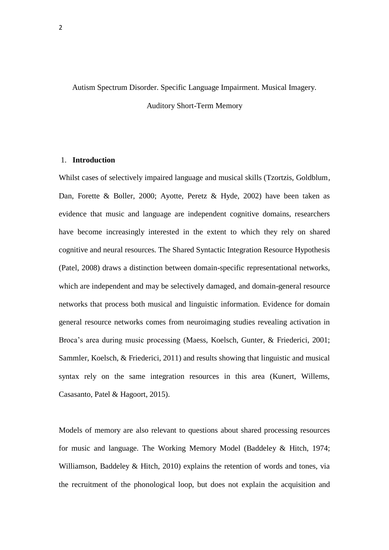#### Autism Spectrum Disorder. Specific Language Impairment. Musical Imagery.

Auditory Short-Term Memory

#### 1. **Introduction**

Whilst cases of selectively impaired language and musical skills (Tzortzis, Goldblum, Dan, Forette & Boller, 2000; Ayotte, Peretz & Hyde, 2002) have been taken as evidence that music and language are independent cognitive domains, researchers have become increasingly interested in the extent to which they rely on shared cognitive and neural resources. The Shared Syntactic Integration Resource Hypothesis (Patel, 2008) draws a distinction between domain-specific representational networks, which are independent and may be selectively damaged, and domain-general resource networks that process both musical and linguistic information. Evidence for domain general resource networks comes from neuroimaging studies revealing activation in Broca's area during music processing (Maess, Koelsch, Gunter, & Friederici, 2001; Sammler, Koelsch, & Friederici, 2011) and results showing that linguistic and musical syntax rely on the same integration resources in this area (Kunert, Willems, Casasanto, Patel & Hagoort, 2015).

Models of memory are also relevant to questions about shared processing resources for music and language. The Working Memory Model (Baddeley & Hitch, 1974; Williamson, Baddeley & Hitch, 2010) explains the retention of words and tones, via the recruitment of the phonological loop, but does not explain the acquisition and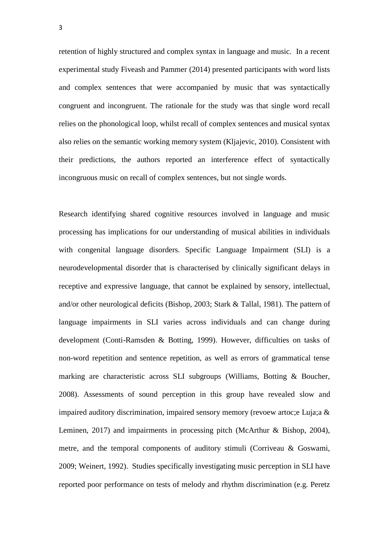retention of highly structured and complex syntax in language and music. In a recent experimental study Fiveash and Pammer (2014) presented participants with word lists and complex sentences that were accompanied by music that was syntactically congruent and incongruent. The rationale for the study was that single word recall relies on the phonological loop, whilst recall of complex sentences and musical syntax also relies on the semantic working memory system (Kljajevic, 2010). Consistent with their predictions, the authors reported an interference effect of syntactically incongruous music on recall of complex sentences, but not single words.

Research identifying shared cognitive resources involved in language and music processing has implications for our understanding of musical abilities in individuals with congenital language disorders. Specific Language Impairment (SLI) is a neurodevelopmental disorder that is characterised by clinically significant delays in receptive and expressive language, that cannot be explained by sensory, intellectual, and/or other neurological deficits (Bishop, 2003; Stark & Tallal, 1981). The pattern of language impairments in SLI varies across individuals and can change during development (Conti-Ramsden & Botting, 1999). However, difficulties on tasks of non-word repetition and sentence repetition, as well as errors of grammatical tense marking are characteristic across SLI subgroups (Williams, Botting & Boucher, 2008). Assessments of sound perception in this group have revealed slow and impaired auditory discrimination, impaired sensory memory (revoew artoc;e Luja;a & Leminen, 2017) and impairments in processing pitch (McArthur & Bishop, 2004), metre, and the temporal components of auditory stimuli (Corriveau & Goswami, 2009; Weinert, 1992). Studies specifically investigating music perception in SLI have reported poor performance on tests of melody and rhythm discrimination (e.g. Peretz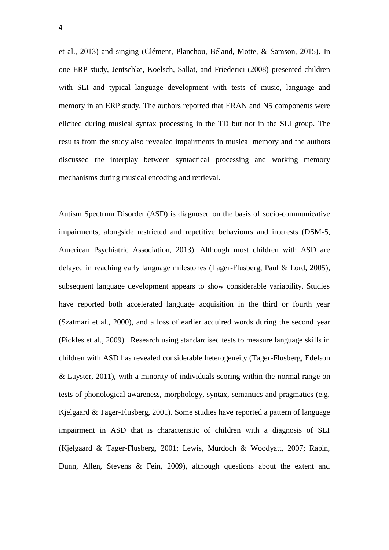et al., 2013) and singing (Clément, Planchou, Béland, Motte, & Samson, 2015). In one ERP study, Jentschke, Koelsch, Sallat, and Friederici (2008) presented children with SLI and typical language development with tests of music, language and memory in an ERP study. The authors reported that ERAN and N5 components were elicited during musical syntax processing in the TD but not in the SLI group. The results from the study also revealed impairments in musical memory and the authors discussed the interplay between syntactical processing and working memory mechanisms during musical encoding and retrieval.

Autism Spectrum Disorder (ASD) is diagnosed on the basis of socio-communicative impairments, alongside restricted and repetitive behaviours and interests (DSM-5, American Psychiatric Association, 2013). Although most children with ASD are delayed in reaching early language milestones (Tager-Flusberg, Paul & Lord, 2005), subsequent language development appears to show considerable variability. Studies have reported both accelerated language acquisition in the third or fourth year (Szatmari et al., 2000), and a loss of earlier acquired words during the second year (Pickles et al., 2009). Research using standardised tests to measure language skills in children with ASD has revealed considerable heterogeneity (Tager-Flusberg, Edelson & Luyster, 2011), with a minority of individuals scoring within the normal range on tests of phonological awareness, morphology, syntax, semantics and pragmatics (e.g. Kjelgaard & Tager-Flusberg, 2001). Some studies have reported a pattern of language impairment in ASD that is characteristic of children with a diagnosis of SLI (Kjelgaard & Tager-Flusberg, 2001; Lewis, Murdoch & Woodyatt, 2007; Rapin, Dunn, Allen, Stevens & Fein, 2009), although questions about the extent and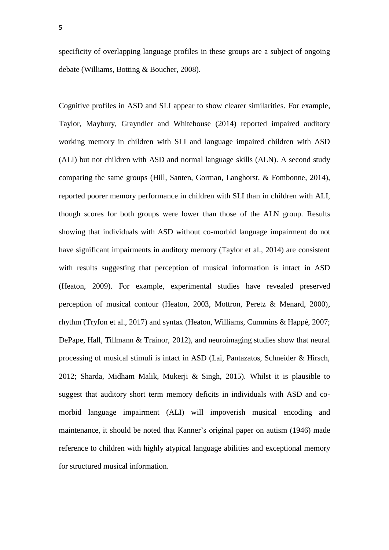5

specificity of overlapping language profiles in these groups are a subject of ongoing debate (Williams, Botting & Boucher, 2008).

Cognitive profiles in ASD and SLI appear to show clearer similarities. For example, Taylor, Maybury, Grayndler and Whitehouse (2014) reported impaired auditory working memory in children with SLI and language impaired children with ASD (ALI) but not children with ASD and normal language skills (ALN). A second study comparing the same groups (Hill, Santen, Gorman, Langhorst, & Fombonne, 2014), reported poorer memory performance in children with SLI than in children with ALI, though scores for both groups were lower than those of the ALN group. Results showing that individuals with ASD without co-morbid language impairment do not have significant impairments in auditory memory (Taylor et al., 2014) are consistent with results suggesting that perception of musical information is intact in ASD (Heaton, 2009). For example, experimental studies have revealed preserved perception of musical contour (Heaton, 2003, Mottron, Peretz & Menard, 2000), rhythm (Tryfon et al., 2017) and syntax (Heaton, Williams, Cummins & Happé, 2007; DePape, Hall, Tillmann & Trainor, 2012), and neuroimaging studies show that neural processing of musical stimuli is intact in ASD (Lai, Pantazatos, Schneider & Hirsch, 2012; Sharda, Midham Malik, Mukerji & Singh, 2015). Whilst it is plausible to suggest that auditory short term memory deficits in individuals with ASD and comorbid language impairment (ALI) will impoverish musical encoding and maintenance, it should be noted that Kanner's original paper on autism (1946) made reference to children with highly atypical language abilities and exceptional memory for structured musical information.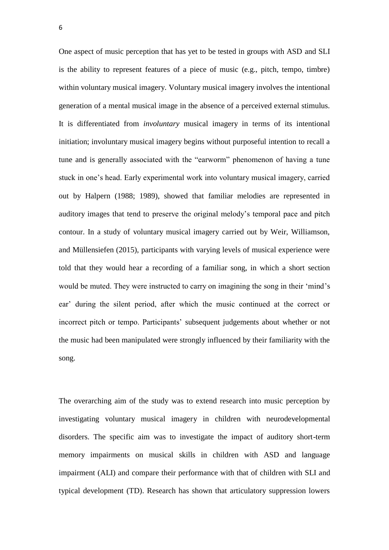One aspect of music perception that has yet to be tested in groups with ASD and SLI is the ability to represent features of a piece of music (e.g., pitch, tempo, timbre) within voluntary musical imagery. Voluntary musical imagery involves the intentional generation of a mental musical image in the absence of a perceived external stimulus. It is differentiated from *involuntary* musical imagery in terms of its intentional initiation; involuntary musical imagery begins without purposeful intention to recall a tune and is generally associated with the "earworm" phenomenon of having a tune stuck in one's head. Early experimental work into voluntary musical imagery, carried out by Halpern (1988; 1989), showed that familiar melodies are represented in auditory images that tend to preserve the original melody's temporal pace and pitch contour. In a study of voluntary musical imagery carried out by Weir, Williamson, and Müllensiefen (2015), participants with varying levels of musical experience were told that they would hear a recording of a familiar song, in which a short section would be muted. They were instructed to carry on imagining the song in their 'mind's ear' during the silent period, after which the music continued at the correct or incorrect pitch or tempo. Participants' subsequent judgements about whether or not the music had been manipulated were strongly influenced by their familiarity with the song.

The overarching aim of the study was to extend research into music perception by investigating voluntary musical imagery in children with neurodevelopmental disorders. The specific aim was to investigate the impact of auditory short-term memory impairments on musical skills in children with ASD and language impairment (ALI) and compare their performance with that of children with SLI and typical development (TD). Research has shown that articulatory suppression lowers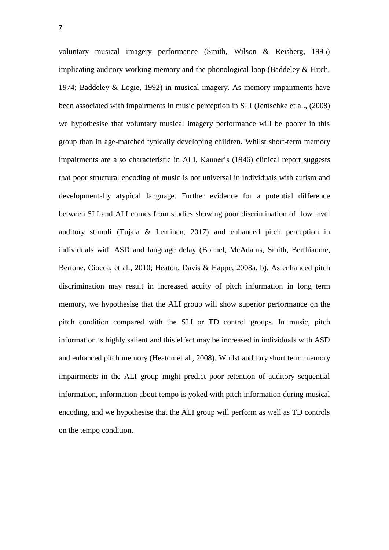voluntary musical imagery performance (Smith, Wilson & Reisberg, 1995) implicating auditory working memory and the phonological loop (Baddeley & Hitch, 1974; Baddeley & Logie, 1992) in musical imagery. As memory impairments have been associated with impairments in music perception in SLI (Jentschke et al., (2008) we hypothesise that voluntary musical imagery performance will be poorer in this group than in age-matched typically developing children. Whilst short-term memory impairments are also characteristic in ALI, Kanner's (1946) clinical report suggests that poor structural encoding of music is not universal in individuals with autism and developmentally atypical language. Further evidence for a potential difference between SLI and ALI comes from studies showing poor discrimination of low level auditory stimuli (Tujala & Leminen, 2017) and enhanced pitch perception in individuals with ASD and language delay (Bonnel, McAdams, Smith, Berthiaume, Bertone, Ciocca, et al., 2010; Heaton, Davis & Happe, 2008a, b). As enhanced pitch discrimination may result in increased acuity of pitch information in long term memory, we hypothesise that the ALI group will show superior performance on the pitch condition compared with the SLI or TD control groups. In music, pitch information is highly salient and this effect may be increased in individuals with ASD and enhanced pitch memory (Heaton et al., 2008). Whilst auditory short term memory impairments in the ALI group might predict poor retention of auditory sequential information, information about tempo is yoked with pitch information during musical encoding, and we hypothesise that the ALI group will perform as well as TD controls on the tempo condition.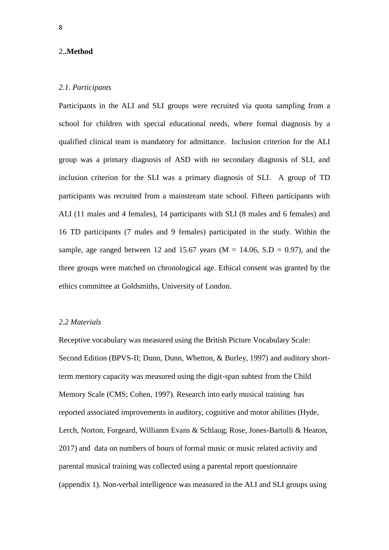#### 2.**.Method**

#### *2.1. Participants*

Participants in the ALI and SLI groups were recruited via quota sampling from a school for children with special educational needs, where formal diagnosis by a qualified clinical team is mandatory for admittance. Inclusion criterion for the ALI group was a primary diagnosis of ASD with no secondary diagnosis of SLI, and inclusion criterion for the SLI was a primary diagnosis of SLI. A group of TD participants was recruited from a mainstream state school. Fifteen participants with ALI (11 males and 4 females), 14 participants with SLI (8 males and 6 females) and 16 TD participants (7 males and 9 females) participated in the study. Within the sample, age ranged between 12 and 15.67 years ( $M = 14.06$ , S.D = 0.97), and the three groups were matched on chronological age. Ethical consent was granted by the ethics committee at Goldsmiths, University of London.

#### *2.2 Materials*

Receptive vocabulary was measured using the British Picture Vocabulary Scale: Second Edition (BPVS-II; Dunn, Dunn, Whetton, & Burley, 1997) and auditory shortterm memory capacity was measured using the digit-span subtest from the Child Memory Scale (CMS; Cohen, 1997). Research into early musical training has reported associated improvements in auditory, cognitive and motor abilities (Hyde, Lerch, Norton, Forgeard, Willianm Evans & Schlaug; Rose, Jones-Bartolli & Heaton, 2017) and data on numbers of hours of formal music or music related activity and parental musical training was collected using a parental report questionnaire (appendix 1). Non-verbal intelligence was measured in the ALI and SLI groups using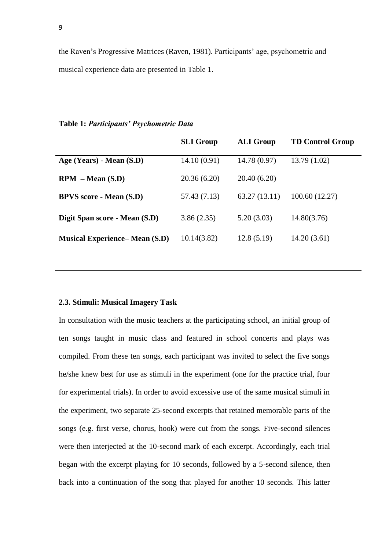the Raven's Progressive Matrices (Raven, 1981). Participants' age, psychometric and musical experience data are presented in Table 1.

#### **Table 1:** *Participants' Psychometric Data*

|                                       | <b>SLI Group</b> | <b>ALI Group</b> | <b>TD Control Group</b> |
|---------------------------------------|------------------|------------------|-------------------------|
| Age (Years) - Mean (S.D)              | 14.10(0.91)      | 14.78(0.97)      | 13.79(1.02)             |
| $RPM - Mean (S.D)$                    | 20.36(6.20)      | 20.40 (6.20)     |                         |
| <b>BPVS</b> score - Mean (S.D)        | 57.43 (7.13)     | 63.27(13.11)     | 100.60 (12.27)          |
| Digit Span score - Mean (S.D)         | 3.86(2.35)       | 5.20(3.03)       | 14.80(3.76)             |
| <b>Musical Experience– Mean (S.D)</b> | 10.14(3.82)      | 12.8(5.19)       | 14.20(3.61)             |
|                                       |                  |                  |                         |

#### **2.3. Stimuli: Musical Imagery Task**

In consultation with the music teachers at the participating school, an initial group of ten songs taught in music class and featured in school concerts and plays was compiled. From these ten songs, each participant was invited to select the five songs he/she knew best for use as stimuli in the experiment (one for the practice trial, four for experimental trials). In order to avoid excessive use of the same musical stimuli in the experiment, two separate 25-second excerpts that retained memorable parts of the songs (e.g. first verse, chorus, hook) were cut from the songs. Five-second silences were then interjected at the 10-second mark of each excerpt. Accordingly, each trial began with the excerpt playing for 10 seconds, followed by a 5-second silence, then back into a continuation of the song that played for another 10 seconds. This latter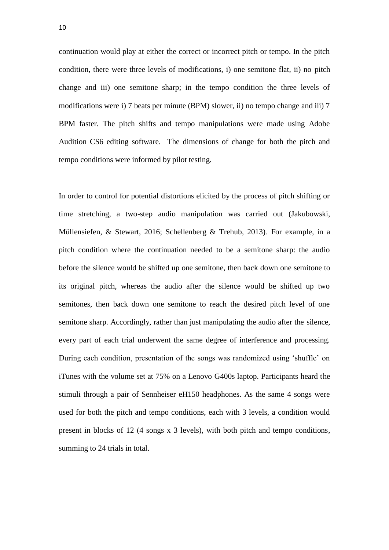continuation would play at either the correct or incorrect pitch or tempo. In the pitch condition, there were three levels of modifications, i) one semitone flat, ii) no pitch change and iii) one semitone sharp; in the tempo condition the three levels of modifications were i) 7 beats per minute (BPM) slower, ii) no tempo change and iii) 7 BPM faster. The pitch shifts and tempo manipulations were made using Adobe Audition CS6 editing software. The dimensions of change for both the pitch and tempo conditions were informed by pilot testing.

In order to control for potential distortions elicited by the process of pitch shifting or time stretching, a two-step audio manipulation was carried out (Jakubowski, Müllensiefen, & Stewart, 2016; Schellenberg & Trehub, 2013). For example, in a pitch condition where the continuation needed to be a semitone sharp: the audio before the silence would be shifted up one semitone, then back down one semitone to its original pitch, whereas the audio after the silence would be shifted up two semitones, then back down one semitone to reach the desired pitch level of one semitone sharp. Accordingly, rather than just manipulating the audio after the silence, every part of each trial underwent the same degree of interference and processing. During each condition, presentation of the songs was randomized using 'shuffle' on iTunes with the volume set at 75% on a Lenovo G400s laptop. Participants heard the stimuli through a pair of Sennheiser eH150 headphones. As the same 4 songs were used for both the pitch and tempo conditions, each with 3 levels, a condition would present in blocks of 12 (4 songs x 3 levels), with both pitch and tempo conditions, summing to 24 trials in total.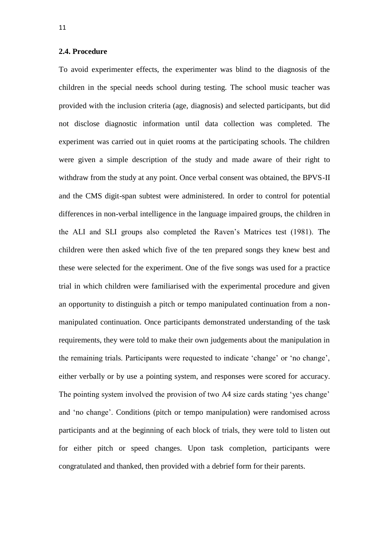#### **2.4. Procedure**

To avoid experimenter effects, the experimenter was blind to the diagnosis of the children in the special needs school during testing. The school music teacher was provided with the inclusion criteria (age, diagnosis) and selected participants, but did not disclose diagnostic information until data collection was completed. The experiment was carried out in quiet rooms at the participating schools. The children were given a simple description of the study and made aware of their right to withdraw from the study at any point. Once verbal consent was obtained, the BPVS-II and the CMS digit-span subtest were administered. In order to control for potential differences in non-verbal intelligence in the language impaired groups, the children in the ALI and SLI groups also completed the Raven's Matrices test (1981). The children were then asked which five of the ten prepared songs they knew best and these were selected for the experiment. One of the five songs was used for a practice trial in which children were familiarised with the experimental procedure and given an opportunity to distinguish a pitch or tempo manipulated continuation from a nonmanipulated continuation. Once participants demonstrated understanding of the task requirements, they were told to make their own judgements about the manipulation in the remaining trials. Participants were requested to indicate 'change' or 'no change', either verbally or by use a pointing system, and responses were scored for accuracy. The pointing system involved the provision of two A4 size cards stating 'yes change' and 'no change'. Conditions (pitch or tempo manipulation) were randomised across participants and at the beginning of each block of trials, they were told to listen out for either pitch or speed changes. Upon task completion, participants were congratulated and thanked, then provided with a debrief form for their parents.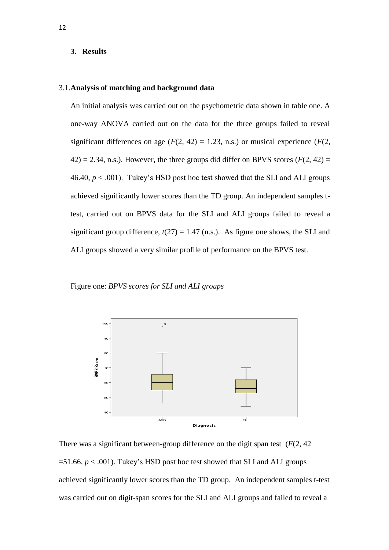#### **3. Results**

#### 3.1.**Analysis of matching and background data**

An initial analysis was carried out on the psychometric data shown in table one. A one-way ANOVA carried out on the data for the three groups failed to reveal significant differences on age  $(F(2, 42) = 1.23, n.s.)$  or musical experience  $(F(2, 42))$  $(42) = 2.34$ , n.s.). However, the three groups did differ on BPVS scores ( $F(2, 42) =$ 46.40,  $p < .001$ ). Tukey's HSD post hoc test showed that the SLI and ALI groups achieved significantly lower scores than the TD group. An independent samples ttest, carried out on BPVS data for the SLI and ALI groups failed to reveal a significant group difference,  $t(27) = 1.47$  (n.s.). As figure one shows, the SLI and ALI groups showed a very similar profile of performance on the BPVS test.

#### Figure one: *BPVS scores for SLI and ALI groups*



There was a significant between-group difference on the digit span test (*F*(2, 42  $=51.66$ ,  $p < .001$ ). Tukey's HSD post hoc test showed that SLI and ALI groups achieved significantly lower scores than the TD group. An independent samples t-test was carried out on digit-span scores for the SLI and ALI groups and failed to reveal a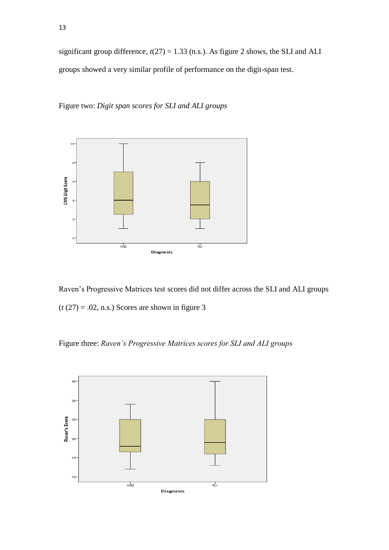significant group difference,  $t(27) = 1.33$  (n.s.). As figure 2 shows, the SLI and ALI groups showed a very similar profile of performance on the digit-span test.

Figure two: *Digit span scores for SLI and ALI groups*



Raven's Progressive Matrices test scores did not differ across the SLI and ALI groups  $(t (27) = .02, n.s.)$  Scores are shown in figure 3

Figure three: *Raven's Progressive Matrices scores for SLI and ALI groups*

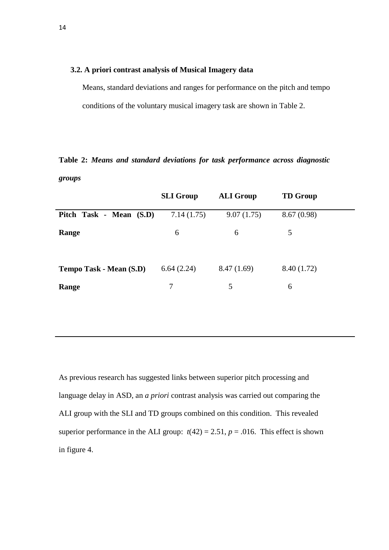#### **3.2. A priori contrast analysis of Musical Imagery data**

Means, standard deviations and ranges for performance on the pitch and tempo conditions of the voluntary musical imagery task are shown in Table 2.

## **Table 2:** *Means and standard deviations for task performance across diagnostic groups*

|                         | <b>SLI Group</b> | <b>ALI Group</b> | <b>TD</b> Group |
|-------------------------|------------------|------------------|-----------------|
| Pitch Task - Mean (S.D) | 7.14(1.75)       | 9.07(1.75)       | 8.67(0.98)      |
| Range                   | 6                | 6                | 5               |
| Tempo Task - Mean (S.D) | 6.64(2.24)       | 8.47(1.69)       | 8.40 (1.72)     |
| Range                   | 7                | 5                | 6               |

As previous research has suggested links between superior pitch processing and language delay in ASD, an *a priori* contrast analysis was carried out comparing the ALI group with the SLI and TD groups combined on this condition. This revealed superior performance in the ALI group:  $t(42) = 2.51$ ,  $p = .016$ . This effect is shown in figure 4.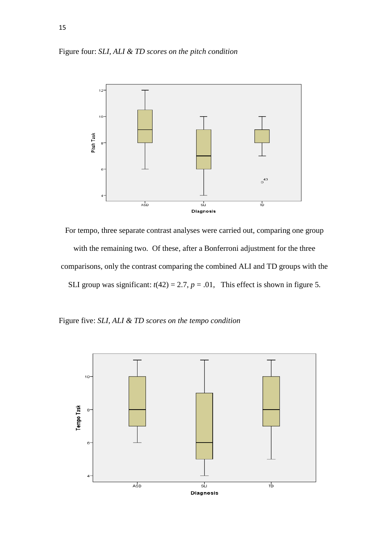



For tempo, three separate contrast analyses were carried out, comparing one group with the remaining two. Of these, after a Bonferroni adjustment for the three comparisons, only the contrast comparing the combined ALI and TD groups with the SLI group was significant:  $t(42) = 2.7$ ,  $p = .01$ , This effect is shown in figure 5.

Figure five: *SLI, ALI & TD scores on the tempo condition*

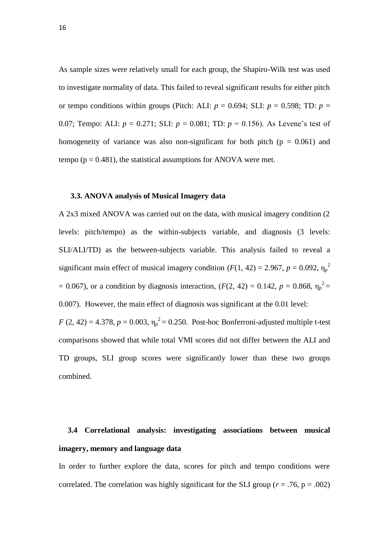As sample sizes were relatively small for each group, the Shapiro-Wilk test was used to investigate normality of data. This failed to reveal significant results for either pitch or tempo conditions within groups (Pitch: ALI:  $p = 0.694$ ; SLI:  $p = 0.598$ ; TD:  $p =$ 0.07; Tempo: ALI:  $p = 0.271$ ; SLI:  $p = 0.081$ ; TD:  $p = 0.156$ ). As Levene's test of homogeneity of variance was also non-significant for both pitch ( $p = 0.061$ ) and tempo ( $p = 0.481$ ), the statistical assumptions for ANOVA were met.

#### **3.3. ANOVA analysis of Musical Imagery data**

A 2x3 mixed ANOVA was carried out on the data, with musical imagery condition (2 levels: pitch/tempo) as the within-subjects variable, and diagnosis (3 levels: SLI/ALI/TD) as the between-subjects variable. This analysis failed to reveal a significant main effect of musical imagery condition  $(F(1, 42) = 2.967, p = 0.092, \eta_p^2)$ = 0.067), or a condition by diagnosis interaction,  $(F(2, 42) = 0.142, p = 0.868, \eta_p^2 =$ 0.007). However, the main effect of diagnosis was significant at the 0.01 level: *F* (2, 42) = 4.378, *p* = 0.003,  $\eta_p^2 = 0.250$ . Post-hoc Bonferroni-adjusted multiple t-test comparisons showed that while total VMI scores did not differ between the ALI and TD groups, SLI group scores were significantly lower than these two groups

combined.

# **3.4 Correlational analysis: investigating associations between musical imagery, memory and language data**

In order to further explore the data, scores for pitch and tempo conditions were correlated. The correlation was highly significant for the SLI group ( $r = .76$ ,  $p = .002$ )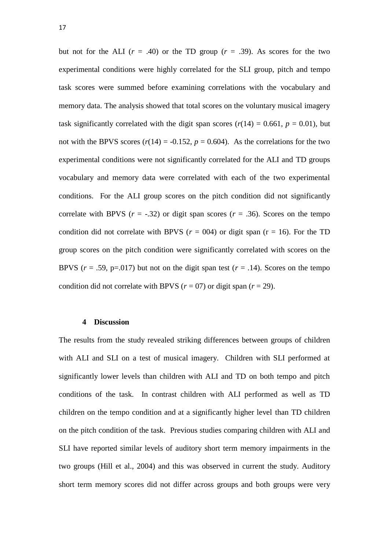but not for the ALI  $(r = .40)$  or the TD group  $(r = .39)$ . As scores for the two experimental conditions were highly correlated for the SLI group, pitch and tempo task scores were summed before examining correlations with the vocabulary and memory data. The analysis showed that total scores on the voluntary musical imagery task significantly correlated with the digit span scores  $(r(14) = 0.661, p = 0.01)$ , but not with the BPVS scores  $(r(14) = -0.152, p = 0.604)$ . As the correlations for the two experimental conditions were not significantly correlated for the ALI and TD groups vocabulary and memory data were correlated with each of the two experimental conditions. For the ALI group scores on the pitch condition did not significantly correlate with BPVS  $(r = -.32)$  or digit span scores  $(r = .36)$ . Scores on the tempo condition did not correlate with BPVS ( $r = 004$ ) or digit span ( $r = 16$ ). For the TD group scores on the pitch condition were significantly correlated with scores on the BPVS  $(r = .59, p = .017)$  but not on the digit span test  $(r = .14)$ . Scores on the tempo condition did not correlate with BPVS ( $r = 07$ ) or digit span ( $r = 29$ ).

#### **4 Discussion**

The results from the study revealed striking differences between groups of children with ALI and SLI on a test of musical imagery. Children with SLI performed at significantly lower levels than children with ALI and TD on both tempo and pitch conditions of the task. In contrast children with ALI performed as well as TD children on the tempo condition and at a significantly higher level than TD children on the pitch condition of the task. Previous studies comparing children with ALI and SLI have reported similar levels of auditory short term memory impairments in the two groups (Hill et al., 2004) and this was observed in current the study. Auditory short term memory scores did not differ across groups and both groups were very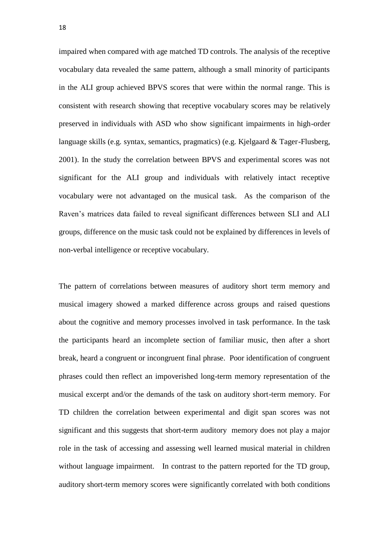impaired when compared with age matched TD controls. The analysis of the receptive vocabulary data revealed the same pattern, although a small minority of participants in the ALI group achieved BPVS scores that were within the normal range. This is consistent with research showing that receptive vocabulary scores may be relatively preserved in individuals with ASD who show significant impairments in high-order language skills (e.g. syntax, semantics, pragmatics) (e.g. Kjelgaard & Tager-Flusberg, 2001). In the study the correlation between BPVS and experimental scores was not significant for the ALI group and individuals with relatively intact receptive vocabulary were not advantaged on the musical task. As the comparison of the Raven's matrices data failed to reveal significant differences between SLI and ALI groups, difference on the music task could not be explained by differences in levels of non-verbal intelligence or receptive vocabulary.

The pattern of correlations between measures of auditory short term memory and musical imagery showed a marked difference across groups and raised questions about the cognitive and memory processes involved in task performance. In the task the participants heard an incomplete section of familiar music, then after a short break, heard a congruent or incongruent final phrase. Poor identification of congruent phrases could then reflect an impoverished long-term memory representation of the musical excerpt and/or the demands of the task on auditory short-term memory. For TD children the correlation between experimental and digit span scores was not significant and this suggests that short-term auditory memory does not play a major role in the task of accessing and assessing well learned musical material in children without language impairment. In contrast to the pattern reported for the TD group, auditory short-term memory scores were significantly correlated with both conditions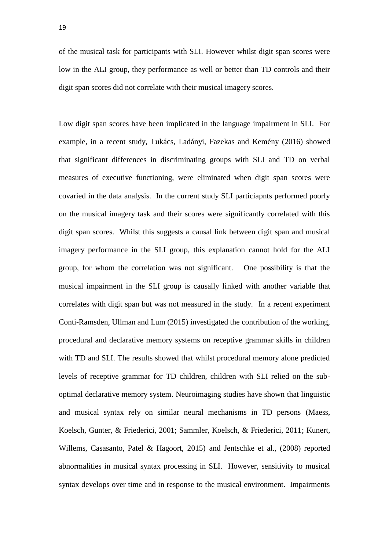of the musical task for participants with SLI. However whilst digit span scores were low in the ALI group, they performance as well or better than TD controls and their digit span scores did not correlate with their musical imagery scores.

Low digit span scores have been implicated in the language impairment in SLI. For example, in a recent study, [Lukács, Ladányi,](https://www.ncbi.nlm.nih.gov/pubmed/?term=Luk%C3%A1cs%20%C3%81%5BAuthor%5D&cauthor=true&cauthor_uid=26280300) [Fazekas and Kemény \(2016\)](https://www.ncbi.nlm.nih.gov/pubmed/?term=Fazekas%20K%5BAuthor%5D&cauthor=true&cauthor_uid=26280300) showed that significant differences in discriminating groups with SLI and TD on verbal measures of executive functioning, were eliminated when digit span scores were covaried in the data analysis. In the current study SLI particiapnts performed poorly on the musical imagery task and their scores were significantly correlated with this digit span scores. Whilst this suggests a causal link between digit span and musical imagery performance in the SLI group, this explanation cannot hold for the ALI group, for whom the correlation was not significant. One possibility is that the musical impairment in the SLI group is causally linked with another variable that correlates with digit span but was not measured in the study. In a recent experiment Conti-Ramsden, Ullman and Lum (2015) investigated the contribution of the working, procedural and declarative memory systems on receptive grammar skills in children with TD and SLI. The results showed that whilst procedural memory alone predicted levels of receptive grammar for TD children, children with SLI relied on the suboptimal declarative memory system. Neuroimaging studies have shown that linguistic and musical syntax rely on similar neural mechanisms in TD persons (Maess, Koelsch, Gunter, & Friederici, 2001; Sammler, Koelsch, & Friederici, 2011; Kunert, Willems, Casasanto, Patel & Hagoort, 2015) and Jentschke et al., (2008) reported abnormalities in musical syntax processing in SLI. However, sensitivity to musical syntax develops over time and in response to the musical environment. Impairments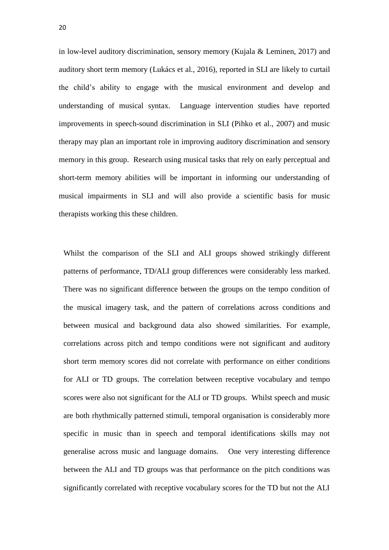in low-level auditory discrimination, sensory memory (Kujala & Leminen, 2017) and auditory short term memory [\(Lukács](https://www.ncbi.nlm.nih.gov/pubmed/?term=Luk%C3%A1cs%20%C3%81%5BAuthor%5D&cauthor=true&cauthor_uid=26280300) et al., 2016), reported in SLI are likely to curtail the child's ability to engage with the musical environment and develop and understanding of musical syntax. Language intervention studies have reported improvements in speech-sound discrimination in SLI (Pihko et al., 2007) and music therapy may plan an important role in improving auditory discrimination and sensory memory in this group. Research using musical tasks that rely on early perceptual and short-term memory abilities will be important in informing our understanding of musical impairments in SLI and will also provide a scientific basis for music therapists working this these children.

Whilst the comparison of the SLI and ALI groups showed strikingly different patterns of performance, TD/ALI group differences were considerably less marked. There was no significant difference between the groups on the tempo condition of the musical imagery task, and the pattern of correlations across conditions and between musical and background data also showed similarities. For example, correlations across pitch and tempo conditions were not significant and auditory short term memory scores did not correlate with performance on either conditions for ALI or TD groups. The correlation between receptive vocabulary and tempo scores were also not significant for the ALI or TD groups. Whilst speech and music are both rhythmically patterned stimuli, temporal organisation is considerably more specific in music than in speech and temporal identifications skills may not generalise across music and language domains. One very interesting difference between the ALI and TD groups was that performance on the pitch conditions was significantly correlated with receptive vocabulary scores for the TD but not the ALI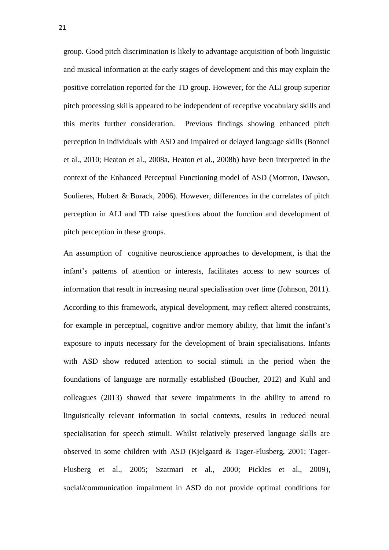group. Good pitch discrimination is likely to advantage acquisition of both linguistic and musical information at the early stages of development and this may explain the positive correlation reported for the TD group. However, for the ALI group superior pitch processing skills appeared to be independent of receptive vocabulary skills and this merits further consideration. Previous findings showing enhanced pitch perception in individuals with ASD and impaired or delayed language skills (Bonnel et al., 2010; Heaton et al., 2008a, Heaton et al., 2008b) have been interpreted in the context of the Enhanced Perceptual Functioning model of ASD (Mottron, Dawson, Soulieres, Hubert & Burack, 2006). However, differences in the correlates of pitch perception in ALI and TD raise questions about the function and development of pitch perception in these groups.

An assumption of cognitive neuroscience approaches to development, is that the infant's patterns of attention or interests, facilitates access to new sources of information that result in increasing neural specialisation over time (Johnson, 2011). According to this framework, atypical development, may reflect altered constraints, for example in perceptual, cognitive and/or memory ability, that limit the infant's exposure to inputs necessary for the development of brain specialisations. Infants with ASD show reduced attention to social stimuli in the period when the foundations of language are normally established (Boucher, 2012) and Kuhl and colleagues (2013) showed that severe impairments in the ability to attend to linguistically relevant information in social contexts, results in reduced neural specialisation for speech stimuli. Whilst relatively preserved language skills are observed in some children with ASD (Kjelgaard & Tager-Flusberg, 2001; Tager-Flusberg et al., 2005; Szatmari et al., 2000; Pickles et al., 2009), social/communication impairment in ASD do not provide optimal conditions for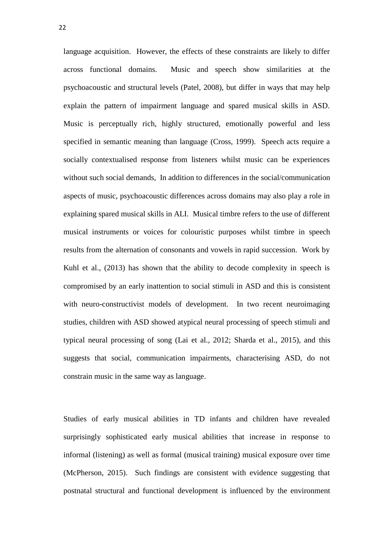language acquisition. However, the effects of these constraints are likely to differ across functional domains. Music and speech show similarities at the psychoacoustic and structural levels (Patel, 2008), but differ in ways that may help explain the pattern of impairment language and spared musical skills in ASD. Music is perceptually rich, highly structured, emotionally powerful and less specified in semantic meaning than language (Cross, 1999). Speech acts require a socially contextualised response from listeners whilst music can be experiences without such social demands, In addition to differences in the social/communication aspects of music, psychoacoustic differences across domains may also play a role in explaining spared musical skills in ALI. Musical timbre refers to the use of different musical instruments or voices for colouristic purposes whilst timbre in speech results from the alternation of consonants and vowels in rapid succession. Work by Kuhl et al., (2013) has shown that the ability to decode complexity in speech is compromised by an early inattention to social stimuli in ASD and this is consistent with neuro-constructivist models of development. In two recent neuroimaging studies, children with ASD showed atypical neural processing of speech stimuli and typical neural processing of song (Lai et al., 2012; Sharda et al., 2015), and this suggests that social, communication impairments, characterising ASD, do not constrain music in the same way as language.

Studies of early musical abilities in TD infants and children have revealed surprisingly sophisticated early musical abilities that increase in response to informal (listening) as well as formal (musical training) musical exposure over time (McPherson, 2015). Such findings are consistent with evidence suggesting that postnatal structural and functional development is influenced by the environment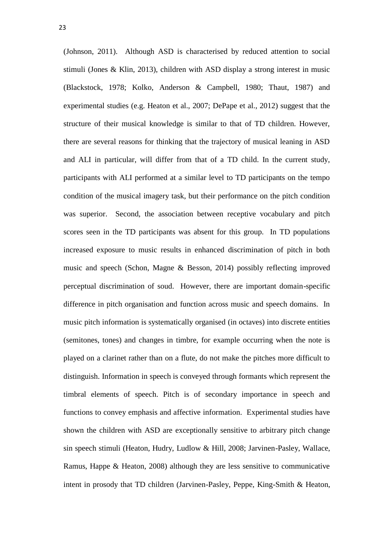(Johnson, 2011). Although ASD is characterised by reduced attention to social stimuli (Jones & Klin, 2013), children with ASD display a strong interest in music (Blackstock, 1978; Kolko, Anderson & Campbell, 1980; Thaut, 1987) and experimental studies (e.g. Heaton et al., 2007; DePape et al., 2012) suggest that the structure of their musical knowledge is similar to that of TD children. However, there are several reasons for thinking that the trajectory of musical leaning in ASD and ALI in particular, will differ from that of a TD child. In the current study, participants with ALI performed at a similar level to TD participants on the tempo condition of the musical imagery task, but their performance on the pitch condition was superior. Second, the association between receptive vocabulary and pitch scores seen in the TD participants was absent for this group. In TD populations increased exposure to music results in enhanced discrimination of pitch in both music and speech (Schon, Magne & Besson, 2014) possibly reflecting improved perceptual discrimination of soud. However, there are important domain-specific difference in pitch organisation and function across music and speech domains. In music pitch information is systematically organised (in octaves) into discrete entities (semitones, tones) and changes in timbre, for example occurring when the note is played on a clarinet rather than on a flute, do not make the pitches more difficult to distinguish. Information in speech is conveyed through formants which represent the timbral elements of speech. Pitch is of secondary importance in speech and functions to convey emphasis and affective information. Experimental studies have shown the children with ASD are exceptionally sensitive to arbitrary pitch change sin speech stimuli (Heaton, Hudry, Ludlow & Hill, 2008; Jarvinen-Pasley, Wallace, Ramus, Happe & Heaton, 2008) although they are less sensitive to communicative intent in prosody that TD children (Jarvinen-Pasley, Peppe, King-Smith & Heaton,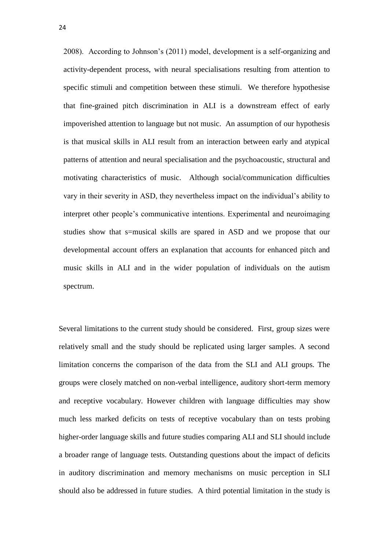2008). According to Johnson's (2011) model, development is a self-organizing and activity-dependent process, with neural specialisations resulting from attention to specific stimuli and competition between these stimuli. We therefore hypothesise that fine-grained pitch discrimination in ALI is a downstream effect of early impoverished attention to language but not music. An assumption of our hypothesis is that musical skills in ALI result from an interaction between early and atypical patterns of attention and neural specialisation and the psychoacoustic, structural and motivating characteristics of music. Although social/communication difficulties vary in their severity in ASD, they nevertheless impact on the individual's ability to interpret other people's communicative intentions. Experimental and neuroimaging studies show that s=musical skills are spared in ASD and we propose that our developmental account offers an explanation that accounts for enhanced pitch and music skills in ALI and in the wider population of individuals on the autism spectrum.

Several limitations to the current study should be considered. First, group sizes were relatively small and the study should be replicated using larger samples. A second limitation concerns the comparison of the data from the SLI and ALI groups. The groups were closely matched on non-verbal intelligence, auditory short-term memory and receptive vocabulary. However children with language difficulties may show much less marked deficits on tests of receptive vocabulary than on tests probing higher-order language skills and future studies comparing ALI and SLI should include a broader range of language tests. Outstanding questions about the impact of deficits in auditory discrimination and memory mechanisms on music perception in SLI should also be addressed in future studies. A third potential limitation in the study is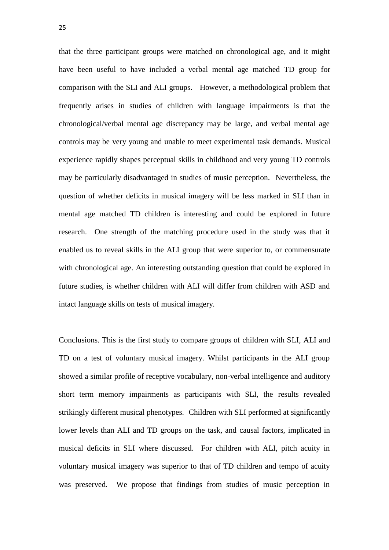that the three participant groups were matched on chronological age, and it might have been useful to have included a verbal mental age matched TD group for comparison with the SLI and ALI groups. However, a methodological problem that frequently arises in studies of children with language impairments is that the chronological/verbal mental age discrepancy may be large, and verbal mental age controls may be very young and unable to meet experimental task demands. Musical experience rapidly shapes perceptual skills in childhood and very young TD controls may be particularly disadvantaged in studies of music perception. Nevertheless, the question of whether deficits in musical imagery will be less marked in SLI than in mental age matched TD children is interesting and could be explored in future research. One strength of the matching procedure used in the study was that it enabled us to reveal skills in the ALI group that were superior to, or commensurate with chronological age. An interesting outstanding question that could be explored in future studies, is whether children with ALI will differ from children with ASD and intact language skills on tests of musical imagery.

Conclusions. This is the first study to compare groups of children with SLI, ALI and TD on a test of voluntary musical imagery. Whilst participants in the ALI group showed a similar profile of receptive vocabulary, non-verbal intelligence and auditory short term memory impairments as participants with SLI, the results revealed strikingly different musical phenotypes. Children with SLI performed at significantly lower levels than ALI and TD groups on the task, and causal factors, implicated in musical deficits in SLI where discussed. For children with ALI, pitch acuity in voluntary musical imagery was superior to that of TD children and tempo of acuity was preserved. We propose that findings from studies of music perception in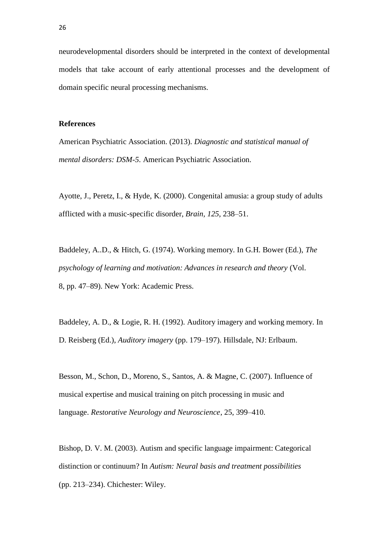neurodevelopmental disorders should be interpreted in the context of developmental models that take account of early attentional processes and the development of domain specific neural processing mechanisms.

#### **References**

American Psychiatric Association. (2013). *Diagnostic and statistical manual of mental disorders: DSM-5*. American Psychiatric Association*.*

Ayotte, J., Peretz, I., & Hyde, K. (2000). Congenital amusia: a group study of adults afflicted with a music-specific disorder, *Brain, 125*, 238–51.

Baddeley, A..D., & Hitch, G. (1974). Working memory. In G.H. Bower (Ed.), *The psychology of learning and motivation: Advances in research and theory* (Vol. 8, pp. 47–89). New York: Academic Press.

Baddeley, A. D., & Logie, R. H. (1992). Auditory imagery and working memory. In D. Reisberg (Ed.), *Auditory imagery* (pp. 179–197). Hillsdale, NJ: Erlbaum.

Besson, M., Schon, D., Moreno, S., Santos, A. & Magne, C. (2007). Influence of musical expertise and musical training on pitch processing in music and language. *Restorative Neurology and Neuroscience*, 25, 399–410.

Bishop, D. V. M. (2003). Autism and specific language impairment: Categorical distinction or continuum? In *Autism: Neural basis and treatment possibilities* (pp. 213–234). Chichester: Wiley.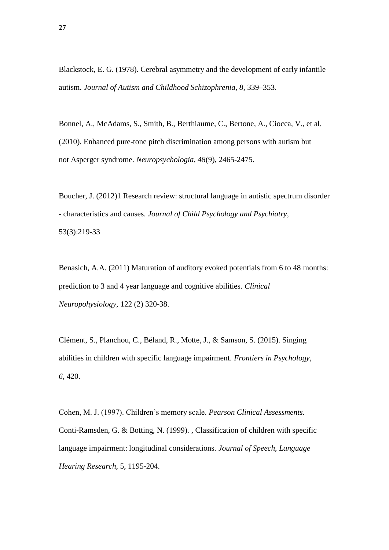Blackstock, E. G. (1978). Cerebral asymmetry and the development of early infantile autism. *Journal of Autism and Childhood Schizophrenia, 8,* 339–353.

Bonnel, A., McAdams, S., Smith, B., Berthiaume, C., Bertone, A., Ciocca, V., et al. (2010). Enhanced pure-tone pitch discrimination among persons with autism but not Asperger syndrome. *Neuropsychologia, 48*(9), 2465-2475.

Boucher, J. (2012)1 Research review: structural language in autistic spectrum disorder - characteristics and causes. *Journal of Child Psychology and Psychiatry,* 53(3):219-33

Benasich, A.A. (2011) Maturation of auditory evoked potentials from 6 to 48 months: prediction to 3 and 4 year language and cognitive abilities. *Clinical Neuropohysiology,* 122 (2) 320-38.

Clément, S., Planchou, C., Béland, R., Motte, J., & Samson, S. (2015). Singing abilities in children with specific language impairment. *Frontiers in Psychology, 6*, 420.

Cohen, M. J. (1997). Children's memory scale. *Pearson Clinical Assessments.* Conti-Ramsden, G. & Botting, N. (1999). , Classification of children with specific language impairment: longitudinal considerations. *Journal of Speech, Language Hearing Research,* 5, 1195-204.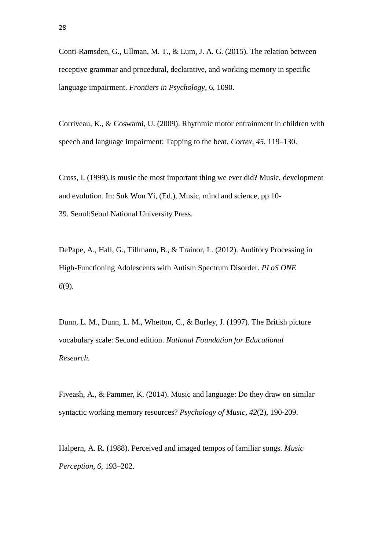Conti-Ramsden, G., Ullman, M. T., & Lum, J. A. G. (2015). The relation between receptive grammar and procedural, declarative, and working memory in specific language impairment. *Frontiers in Psychology*, 6, 1090.

Corriveau, K., & Goswami, U. (2009). Rhythmic motor entrainment in children with speech and language impairment: Tapping to the beat. *Cortex, 45,* 119–130.

Cross, I. (1999).Is music the most important thing we ever did? Music, development and evolution. In: Suk Won Yi, (Ed.), Music, mind and science, pp.10- 39. Seoul:Seoul National University Press.

DePape, A., Hall, G., Tillmann, B., & Trainor, L. (2012). Auditory Processing in High-Functioning Adolescents with Autism Spectrum Disorder. *PLoS ONE 6*(9)*.*

Dunn, L. M., Dunn, L. M., Whetton, C., & Burley, J. (1997). The British picture vocabulary scale: Second edition. *National Foundation for Educational Research.*

Fiveash, A., & Pammer, K. (2014). Music and language: Do they draw on similar syntactic working memory resources? *Psychology of Music*, *42*(2), 190-209.

Halpern, A. R. (1988). Perceived and imaged tempos of familiar songs. *Music Perception, 6,* 193–202.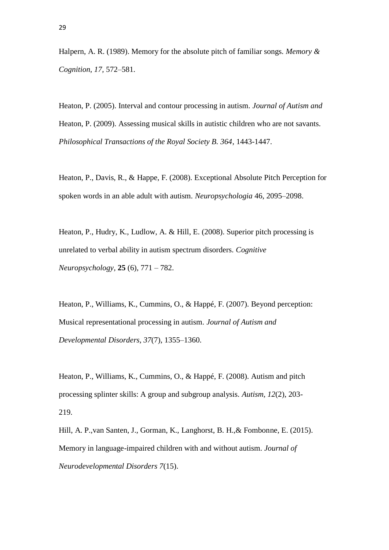Halpern, A. R. (1989). Memory for the absolute pitch of familiar songs. *Memory & Cognition, 17,* 572–581.

Heaton, P. (2005). Interval and contour processing in autism. *Journal of Autism and* Heaton, P. (2009). Assessing musical skills in autistic children who are not savants. *Philosophical Transactions of the Royal Society B. 364*, 1443-1447.

Heaton, P., Davis, R., & Happe, F. (2008). Exceptional Absolute Pitch Perception for spoken words in an able adult with autism. *Neuropsychologia* 46, 2095–2098.

Heaton, P., Hudry, K., Ludlow, A. & Hill, E. (2008). Superior pitch processing is unrelated to verbal ability in autism spectrum disorders. *Cognitive Neuropsychology,* **25** (6), 771 – 782.

Heaton, P., Williams, K., Cummins, O., & Happé, F. (2007). Beyond perception: Musical representational processing in autism. *Journal of Autism and Developmental Disorders, 37*(7), 1355–1360.

Heaton, P., Williams, K., Cummins, O., & Happé, F. (2008). Autism and pitch processing splinter skills: A group and subgroup analysis. *Autism, 12*(2), 203- 219.

Hill, A. P.,van Santen, J., Gorman, K., Langhorst, B. H.,& Fombonne, E. (2015). Memory in language-impaired children with and without autism. *Journal of Neurodevelopmental Disorders 7*(15).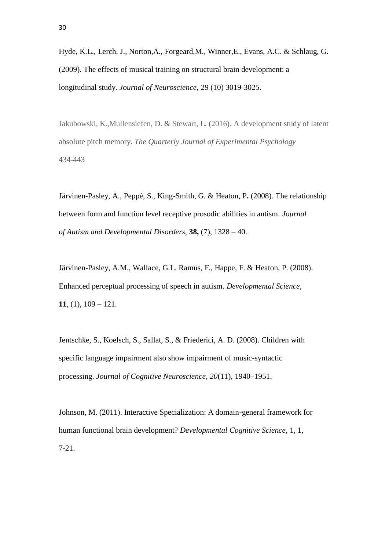Hyde, K.L., Lerch, J., Norton,A., Forgeard,M., Winner,E., Evans, A.C. & Schlaug, G. (2009). The effects of musical training on structural brain development: a longitudinal study. *Journal of Neuroscience,* 29 (10) 3019-3025.

Jakubowski, K.,Mullensiefen, D. & Stewart, L. (2016). A development study of latent absolute pitch memory. *The Quarterly Journal of Experimental Psychology* 434-443

Järvinen-Pasley, A., Peppé, S., King-Smith, G. & Heaton, P**.** (2008). The relationship between form and function level receptive prosodic abilities in autism. *Journal of Autism and Developmental Disorders,* **38,** (7), 1328 – 40.

Järvinen-Pasley, A.M., Wallace, G.L. Ramus, F., Happe, F. & Heaton, P. (2008). Enhanced perceptual processing of speech in autism. *Developmental Science,* **11**, (1), 109 – 121.

Jentschke, S., Koelsch, S., Sallat, S., & Friederici, A. D. (2008). Children with specific language impairment also show impairment of music-syntactic processing. *Journal of Cognitive Neuroscience, 20*(11), 1940–1951.

Johnson, M. (2011). Interactive Specialization: A domain-general framework for human functional brain development? *Developmental Cognitive Science*, 1, 1, 7-21.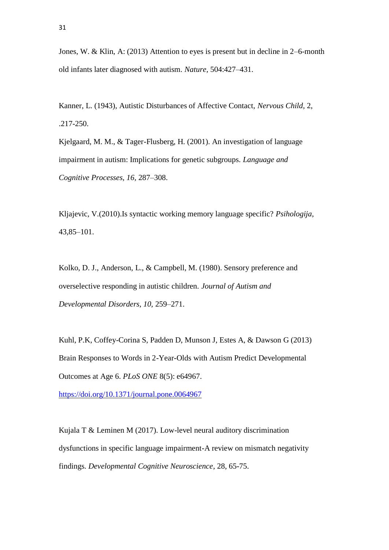Jones, W. & Klin, A: (2013) Attention to eyes is present but in decline in 2–6-month old infants later diagnosed with autism. *Nature,* 504:427–431.

Kanner, L. (1943), Autistic Disturbances of Affective Contact, *Nervous Child*, 2, .217-250.

Kjelgaard, M. M., & Tager-Flusberg, H. (2001). An investigation of language impairment in autism: Implications for genetic subgroups. *Language and Cognitive Processes, 16,* 287–308.

Kljajevic, V.(2010).Is syntactic working memory language specific? *Psihologija*, 43,85–101.

Kolko, D. J., Anderson, L., & Campbell, M. (1980). Sensory preference and overselective responding in autistic children. *Journal of Autism and Developmental Disorders, 10,* 259–271.

Kuhl, P.K, Coffey-Corina S, Padden D, Munson J, Estes A, & Dawson G (2013) Brain Responses to Words in 2-Year-Olds with Autism Predict Developmental Outcomes at Age 6. *PLoS ONE* 8(5): e64967.

<https://doi.org/10.1371/journal.pone.0064967>

Kujala T & Leminen M (2017). Low-level neural auditory discrimination dysfunctions in specific language impairment-A review on mismatch negativity findings. *Developmental Cognitive Neuroscience*, 28, 65-75.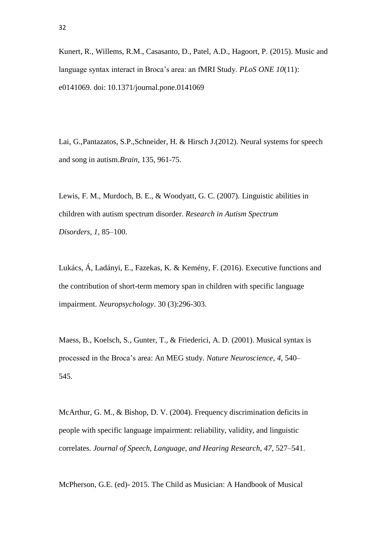Kunert, R., Willems, R.M., Casasanto, D., Patel, A.D., Hagoort, P. (2015). Music and language syntax interact in Broca's area: an fMRI Study. *PLoS ONE 10*(11): e0141069. doi: 10.1371/journal.pone.0141069

Lai, G.,Pantazatos, S.P.,Schneider, H. & Hirsch J.(2012). Neural systems for speech and song in autism.*Brain*, 135, 961-75.

Lewis, F. M., Murdoch, B. E., & Woodyatt, G. C. (2007). Linguistic abilities in children with autism spectrum disorder. *Research in Autism Spectrum Disorders, 1,* 85–100.

Lukács, Á, Ladányi, E., Fazekas, K. & Kemény, F. (2016). Executive functions and the contribution of short-term memory span in children with specific language impairment. *Neuropsychology*. 30 (3):296-303.

Maess, B., Koelsch, S., Gunter, T., & Friederici, A. D. (2001). Musical syntax is processed in the Broca's area: An MEG study. *Nature Neuroscience, 4,* 540– 545.

McArthur, G. M., & Bishop, D. V. (2004). Frequency discrimination deficits in people with specific language impairment: reliability, validity, and linguistic correlates. *Journal of Speech, Language, and Hearing Research, 47, 527–541.* 

McPherson, G.E. (ed)- 2015. The Child as Musician: A Handbook of Musical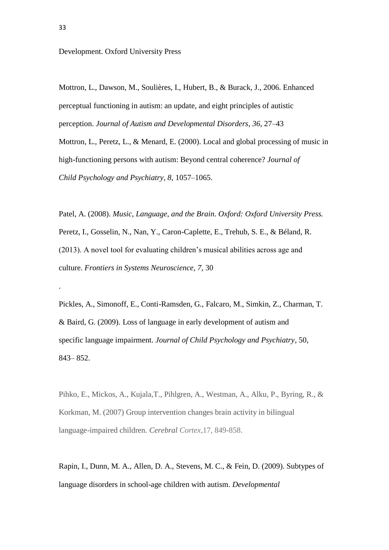Development. Oxford University Press

Mottron, L., Dawson, M., Soulières, I., Hubert, B., & Burack, J., 2006. Enhanced perceptual functioning in autism: an update, and eight principles of autistic perception. *Journal of Autism and Developmental Disorders*, *36*, 27–43

Mottron, L., Peretz, L., & Menard, E. (2000). Local and global processing of music in high-functioning persons with autism: Beyond central coherence? *Journal of Child Psychology and Psychiatry, 8,* 1057–1065.

Patel, A. (2008). *Music, Language, and the Brain*. *Oxford: Oxford University Press.* Peretz, I., Gosselin, N., Nan, Y., Caron-Caplette, E., Trehub, S. E., & Béland, R. (2013). A novel tool for evaluating children's musical abilities across age and culture. *Frontiers in Systems Neuroscience, 7*, 30

Pickles, A., Simonoff, E., Conti-Ramsden, G., Falcaro, M., Simkin, Z., Charman, T. & Baird, G. (2009). Loss of language in early development of autism and specific language impairment. *Journal of Child Psychology and Psychiatry*, 50, 843– 852.

Pihko, E., Mickos, A., Kujala,T., Pihlgren, A., Westman, A., Alku, P., Byring, R., & Korkman, M. (2007) Group intervention changes brain activity in bilingual language-impaired children. *Cerebral Cortex*,17, 849-858.

Rapin, I., Dunn, M. A., Allen, D. A., Stevens, M. C., & Fein, D. (2009). Subtypes of language disorders in school-age children with autism. *Developmental*

.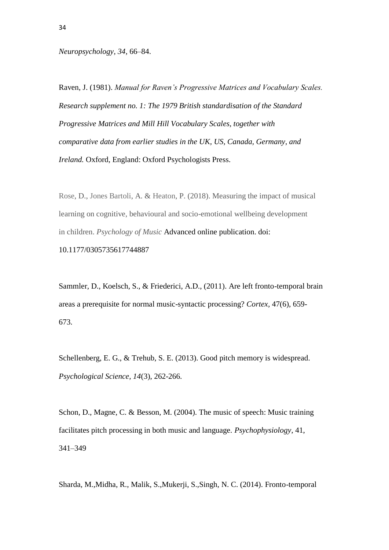*Neuropsychology, 34*, 66–84.

Raven, J. (1981). *Manual for Raven's Progressive Matrices and Vocabulary Scales. Research supplement no. 1: The 1979 British standardisation of the Standard Progressive Matrices and Mill Hill Vocabulary Scales, together with comparative data from earlier studies in the UK, US, Canada, Germany, and Ireland.* Oxford, England: Oxford Psychologists Press.

Rose, D., Jones Bartoli, A. & Heaton, P. (2018). Measuring the impact of musical learning on cognitive, behavioural and socio-emotional wellbeing development in children. *Psychology of Music* Advanced online publication. doi:

10.1177/0305735617744887

Sammler, D., Koelsch, S., & Friederici, A.D., (2011). Are left fronto-temporal brain areas a prerequisite for normal music-syntactic processing? *Cortex,* 47(6), 659- 673.

Schellenberg, E. G., & Trehub, S. E. (2013). Good pitch memory is widespread. *Psychological Science, 14*(3), 262-266.

Schon, D., Magne, C. & Besson, M. (2004). The music of speech: Music training facilitates pitch processing in both music and language. *Psychophysiology*, 41, 341–349

Sharda, M.,Midha, R., Malik, S.,Mukerji, S.,Singh, N. C. (2014). Fronto-temporal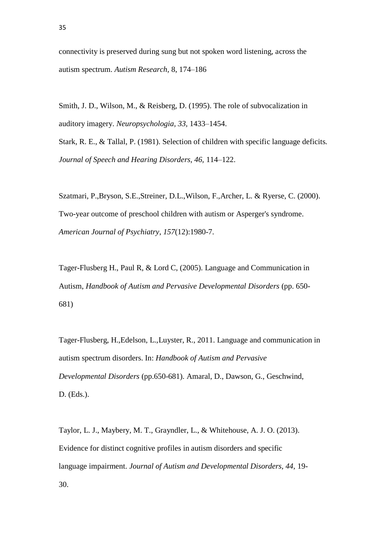Smith, J. D., Wilson, M., & Reisberg, D. (1995). The role of subvocalization in auditory imagery. *Neuropsychologia, 33,* 1433–1454.

Stark, R. E., & Tallal, P. (1981). Selection of children with specific language deficits. *Journal of Speech and Hearing Disorders, 46,* 114–122.

Szatmari, P.,Bryson, S.E.,Streiner, D.L.,Wilson, F.,Archer, L. & Ryerse, C. (2000). Two-year outcome of preschool children with autism or Asperger's syndrome. *American Journal of Psychiatry*, *157*(12):1980-7.

Tager-Flusberg H., Paul R, & Lord C, (2005). Language and Communication in Autism, *Handbook of Autism and Pervasive Developmental Disorders* (pp. 650- 681)

Tager-Flusberg, H.,Edelson, L.,Luyster, R., 2011. Language and communication in autism spectrum disorders. In: *Handbook of Autism and Pervasive Developmental Disorders* (pp.650-681). Amaral, D., Dawson, G., Geschwind, D. (Eds.).

Taylor, L. J., Maybery, M. T., Grayndler, L., & Whitehouse, A. J. O. (2013). Evidence for distinct cognitive profiles in autism disorders and specific language impairment. *Journal of Autism and Developmental Disorders, 44,* 19- 30.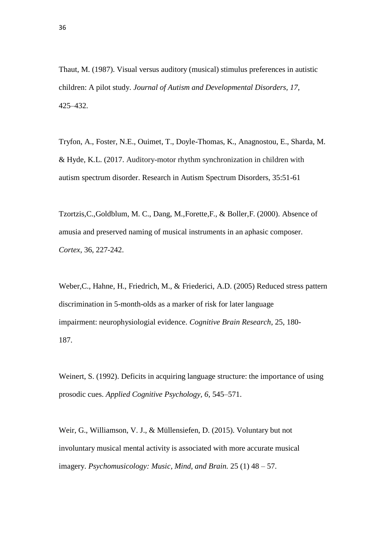Thaut, M. (1987). Visual versus auditory (musical) stimulus preferences in autistic children: A pilot study. *Journal of Autism and Developmental Disorders, 17,* 425–432.

Tryfon, A., Foster, N.E., Ouimet, T., Doyle-Thomas, K., Anagnostou, E., Sharda, M. & Hyde, K.L. (2017. Auditory-motor rhythm synchronization in children with autism spectrum disorder. Research in Autism Spectrum Disorders, 35:51-61

Tzortzis,C.,Goldblum, M. C., Dang, M.,Forette,F., & Boller,F. (2000). Absence of amusia and preserved naming of musical instruments in an aphasic composer. *Cortex*, 36, 227-242.

Weber,C., Hahne, H., Friedrich, M., & Friederici, A.D. (2005) Reduced stress pattern discrimination in 5-month-olds as a marker of risk for later language impairment: neurophysiologial evidence. *Cognitive Brain Research*, 25, 180- 187.

Weinert, S. (1992). Deficits in acquiring language structure: the importance of using prosodic cues. *Applied Cognitive Psychology, 6,* 545–571.

Weir, G., Williamson, V. J., & Müllensiefen, D. (2015). Voluntary but not involuntary musical mental activity is associated with more accurate musical imagery. *Psychomusicology: Music, Mind, and Brain.* 25 (1) 48 – 57.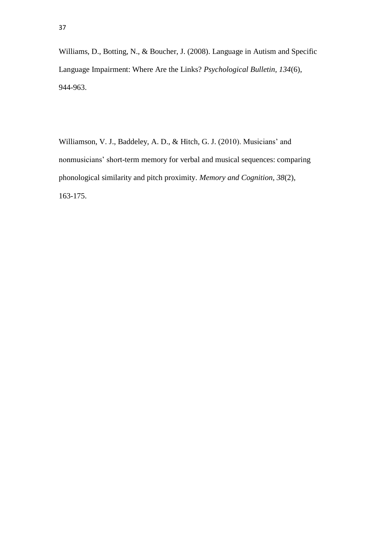Williams, D., Botting, N., & Boucher, J. (2008). Language in Autism and Specific Language Impairment: Where Are the Links? *Psychological Bulletin, 134*(6), 944-963.

Williamson, V. J., Baddeley, A. D., & Hitch, G. J. (2010). Musicians' and nonmusicians' short-term memory for verbal and musical sequences: comparing phonological similarity and pitch proximity. *Memory and Cognition, 38*(2), 163-175.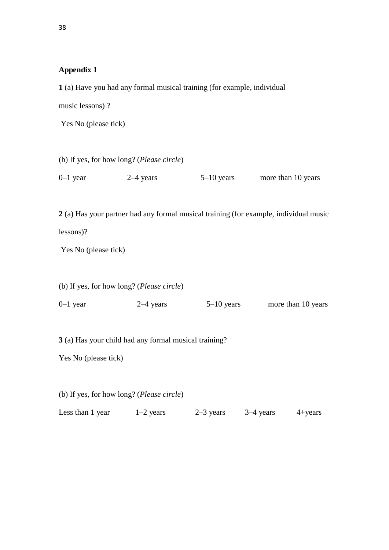## **Appendix 1**

|                                                       |             | 1 (a) Have you had any formal musical training (for example, individual |                                                                                       |
|-------------------------------------------------------|-------------|-------------------------------------------------------------------------|---------------------------------------------------------------------------------------|
| music lessons)?                                       |             |                                                                         |                                                                                       |
| Yes No (please tick)                                  |             |                                                                         |                                                                                       |
|                                                       |             |                                                                         |                                                                                       |
| (b) If yes, for how long? (Please circle)             |             |                                                                         |                                                                                       |
| $0-1$ year                                            | $2-4$ years | $5-10$ years                                                            | more than 10 years                                                                    |
|                                                       |             |                                                                         |                                                                                       |
|                                                       |             |                                                                         | 2 (a) Has your partner had any formal musical training (for example, individual music |
| lessons)?                                             |             |                                                                         |                                                                                       |
| Yes No (please tick)                                  |             |                                                                         |                                                                                       |
|                                                       |             |                                                                         |                                                                                       |
| (b) If yes, for how long? (Please circle)             |             |                                                                         |                                                                                       |
| $0-1$ year                                            | $2-4$ years | $5-10$ years                                                            | more than 10 years                                                                    |
|                                                       |             |                                                                         |                                                                                       |
| 3 (a) Has your child had any formal musical training? |             |                                                                         |                                                                                       |
| Yes No (please tick)                                  |             |                                                                         |                                                                                       |
|                                                       |             |                                                                         |                                                                                       |
| (b) If yes, for how long? ( <i>Please circle</i> )    |             |                                                                         |                                                                                       |
| Less than 1 year                                      | $1-2$ years | $2-3$ years                                                             | $3-4$ years<br>$4 + years$                                                            |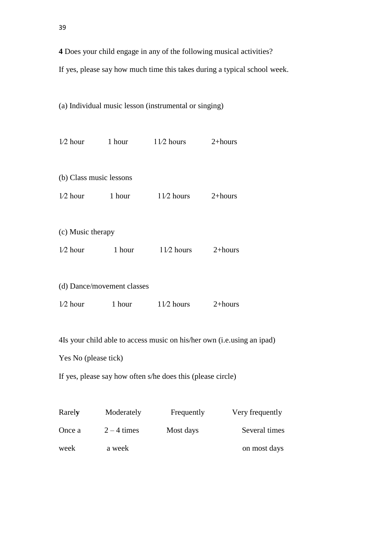**4** Does your child engage in any of the following musical activities?

If yes, please say how much time this takes during a typical school week.

(a) Individual music lesson (instrumental or singing)

|                                                                        |        | $1/2$ hour 1 hour $11/2$ hours $2+$ hours |             |
|------------------------------------------------------------------------|--------|-------------------------------------------|-------------|
| (b) Class music lessons                                                |        |                                           |             |
| $1/2$ hour                                                             | 1 hour | $11/2$ hours                              | $2 + hours$ |
|                                                                        |        |                                           |             |
| (c) Music therapy                                                      |        |                                           |             |
| $1/2$ hour                                                             | 1 hour | $11/2$ hours                              | $2 + hours$ |
|                                                                        |        |                                           |             |
| (d) Dance/movement classes                                             |        |                                           |             |
|                                                                        |        | $1/2$ hour 1 hour $1/2$ hours             | $2+hours$   |
|                                                                        |        |                                           |             |
| 4Is your child able to access music on his/her own (i.e.using an ipad) |        |                                           |             |
| Yes No (please tick)                                                   |        |                                           |             |
| If yes, please say how often s/he does this (please circle)            |        |                                           |             |
|                                                                        |        |                                           |             |

| Rarely | Moderately    | Frequently | Very frequently |
|--------|---------------|------------|-----------------|
| Once a | $2 - 4$ times | Most days  | Several times   |
| week   | a week        |            | on most days    |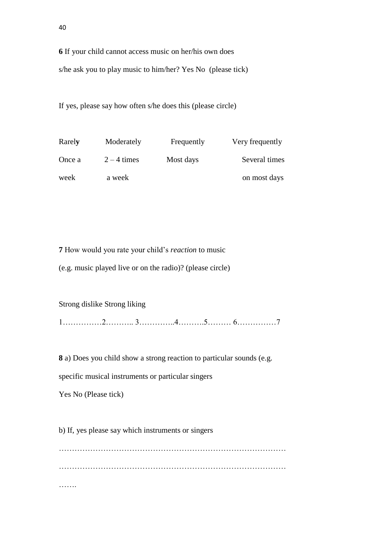**6** If your child cannot access music on her/his own does s/he ask you to play music to him/her? Yes No (please tick)

If yes, please say how often s/he does this (please circle)

| Rarely | Moderately    | Frequently | Very frequently |
|--------|---------------|------------|-----------------|
| Once a | $2 - 4$ times | Most days  | Several times   |
| week   | a week        |            | on most days    |

**7** How would you rate your child's *reaction* to music

(e.g. music played live or on the radio)? (please circle)

Strong dislike Strong liking

1……………2……….. 3…………..4……….5……… 6……………7

**8** a) Does you child show a strong reaction to particular sounds (e.g.

specific musical instruments or particular singers

Yes No (Please tick)

b) If, yes please say which instruments or singers

…………………………………………………………………………… …………………………………………………………………………… …….